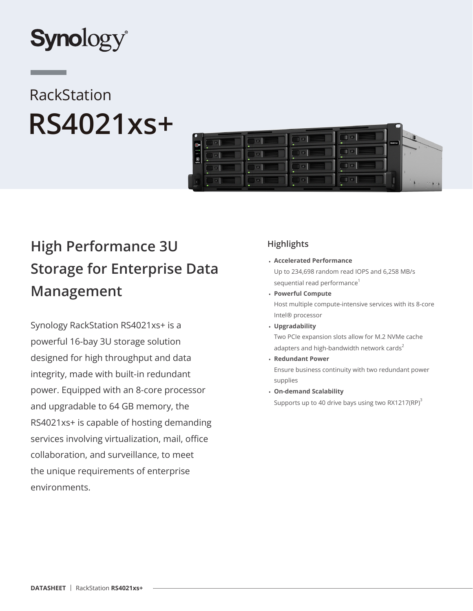

# RackStation **RS4021xs+**



## **High Performance 3U Storage for Enterprise Data Management**

Synology RackStation RS4021xs+ is a powerful 16-bay 3U storage solution designed for high throughput and data integrity, made with built-in redundant power. Equipped with an 8-core processor and upgradable to 64 GB memory, the RS4021xs+ is capable of hosting demanding services involving virtualization, mail, office collaboration, and surveillance, to meet the unique requirements of enterprise environments.

## **Highlights**

• **Accelerated Performance** 

Up to 234,698 random read IOPS and 6,258 MB/s sequential read performance<sup>1</sup>

• **Powerful Compute**

Host multiple compute-intensive services with its 8-core Intel® processor

• **Upgradability**

Two PCIe expansion slots allow for M.2 NVMe cache adapters and high-bandwidth network cards $2$ 

• **Redundant Power**

Ensure business continuity with two redundant power supplies

• **On-demand Scalability**

Supports up to 40 drive bays using two RX1217(RP) $3$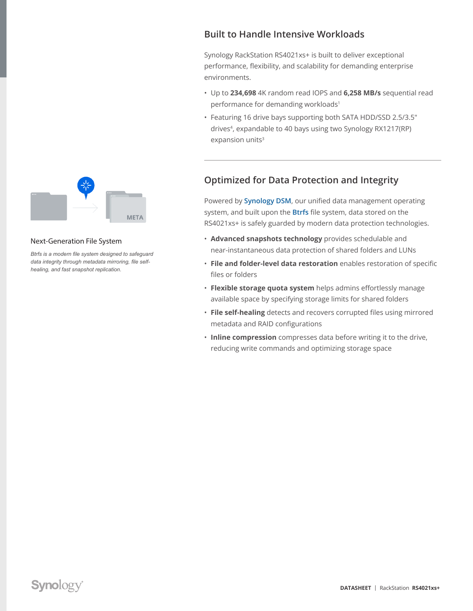

#### Next-Generation File System

*Btrfs is a modern file system designed to safeguard data integrity through metadata mirroring, file selfhealing, and fast snapshot replication.*

**META** 

#### **Built to Handle Intensive Workloads**

Synology RackStation RS4021xs+ is built to deliver exceptional performance, flexibility, and scalability for demanding enterprise environments.

- Up to **234,698** 4K random read IOPS and **6,258 MB/s** sequential read performance for demanding workloads<sup>1</sup>
- Featuring 16 drive bays supporting both SATA HDD/SSD 2.5/3.5" drives<sup>4</sup>, expandable to 40 bays using two Synology RX1217(RP) expansion units<sup>3</sup>

## **Optimized for Data Protection and Integrity**

Powered by **[Synology DSM](http://sy.to/rs4021xspdm)**, our unified data management operating system, and built upon the **[Btrfs](http://sy.to/rs4021xspbtrfs)** file system, data stored on the RS4021xs+ is safely guarded by modern data protection technologies.

- **Advanced snapshots technology** provides schedulable and near-instantaneous data protection of shared folders and LUNs
- **File and folder-level data restoration** enables restoration of specific files or folders
- **Flexible storage quota system** helps admins effortlessly manage available space by specifying storage limits for shared folders
- **File self-healing** detects and recovers corrupted files using mirrored metadata and RAID configurations
- **Inline compression** compresses data before writing it to the drive, reducing write commands and optimizing storage space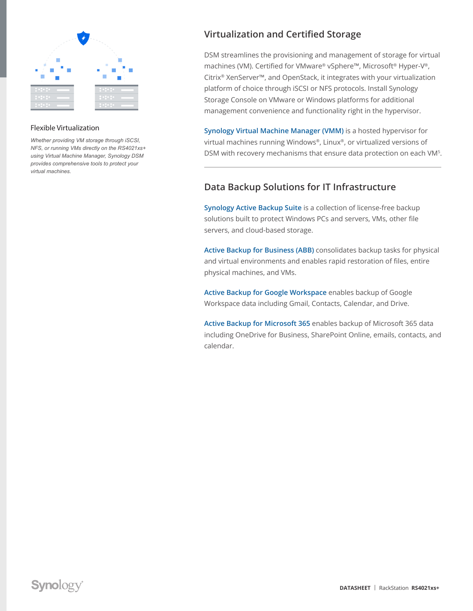

#### Flexible Virtualization

*Whether providing VM storage through iSCSI, NFS, or running VMs directly on the RS4021xs+ using Virtual Machine Manager, Synology DSM provides comprehensive tools to protect your virtual machines.*

## **Virtualization and Certified Storage**

DSM streamlines the provisioning and management of storage for virtual machines (VM). Certified for VMware® vSphere™, Microsoft® Hyper-V®, Citrix® XenServer™, and OpenStack, it integrates with your virtualization platform of choice through iSCSI or NFS protocols. Install Synology Storage Console on VMware or Windows platforms for additional management convenience and functionality right in the hypervisor.

**[Synology Virtual Machine Manager \(VMM\)](http://sy.to/rs4021xspvmm)** is a hosted hypervisor for virtual machines running Windows®, Linux®, or virtualized versions of DSM with recovery mechanisms that ensure data protection on each VM5.

## **Data Backup Solutions for IT Infrastructure**

**[Synology Active Backup Suite](http://sy.to/rs4021xspabs)** is a collection of license-free backup solutions built to protect Windows PCs and servers, VMs, other file servers, and cloud-based storage.

**[Active Backup for Business \(ABB\)](http://sy.to/rs4021xspabb)** consolidates backup tasks for physical and virtual environments and enables rapid restoration of files, entire physical machines, and VMs.

**[Active Backup for G](http://sy.to/rs4021xspabgw)oogle Workspace** enables backup of Google Workspace data including Gmail, Contacts, Calendar, and Drive.

**[Active Backup for Microsoft 365](http://sy.to/rs4021xspabm365)** enables backup of Microsoft 365 data including OneDrive for Business, SharePoint Online, emails, contacts, and calendar.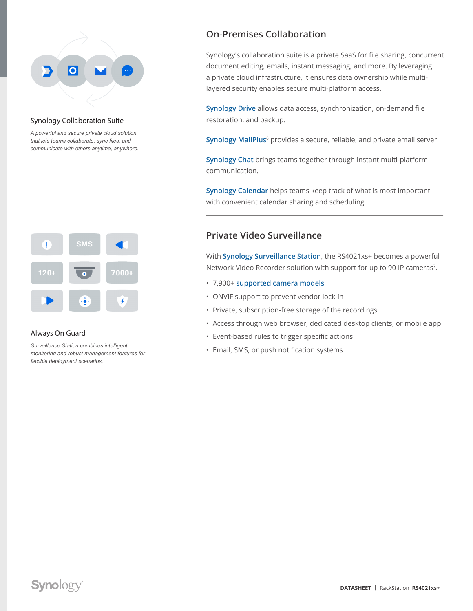

#### Synology Collaboration Suite

*A powerful and secure private cloud solution that lets teams collaborate, sync files, and communicate with others anytime, anywhere.*



#### Always On Guard

*Surveillance Station combines intelligent monitoring and robust management features for flexible deployment scenarios.*

## **On-Premises Collaboration**

Synology's collaboration suite is a private SaaS for file sharing, concurrent document editing, emails, instant messaging, and more. By leveraging a private cloud infrastructure, it ensures data ownership while multilayered security enables secure multi-platform access.

**[Synology Drive](http://sy.to/rs4021xspsd)** allows data access, synchronization, on-demand file restoration, and backup.

**[Synology MailPlus](http://sy.to/rs4021xspmp)**6 provides a secure, reliable, and private email server.

**[Synology Chat](http://sy.to/rs4021xspsc)** brings teams together through instant multi-platform communication.

**[Synology Calendar](http://sy.to/rs4021xspsca)** helps teams keep track of what is most important with convenient calendar sharing and scheduling.

#### **Private Video Surveillance**

With **[Synology Surveillance Station](http://sy.to/rs4021xspsss)**, the RS4021xs+ becomes a powerful Network Video Recorder solution with support for up to 90 IP cameras<sup>7</sup>.

- 7,900+ **[supported camera models](http://sy.to/rs4021xspdipcsl)**
- ONVIF support to prevent vendor lock-in
- Private, subscription-free storage of the recordings
- Access through web browser, dedicated desktop clients, or mobile app
- Event-based rules to trigger specific actions
- Email, SMS, or push notification systems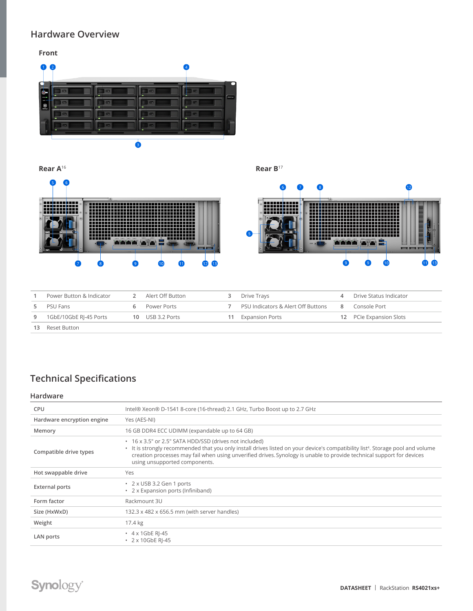## **Hardware Overview**

#### **Front**



**Rear A**<sup>16</sup> **Rear B**<sup>17</sup>



|   | Power Button & Indicator | Alert Off Button | Drive Travs                        |   | Drive Status Indicator  |
|---|--------------------------|------------------|------------------------------------|---|-------------------------|
|   | PSU Fans                 | Power Ports      | PSU Indicators & Alert Off Buttons | 8 | Console Port            |
| 9 | 1GbE/10GbE RJ-45 Ports   | 10 USB 3.2 Ports | <b>Expansion Ports</b>             |   | 12 PCIe Expansion Slots |
|   | Reset Button             |                  |                                    |   |                         |

## **Technical Specifications**

#### **Hardware**

| CPU                        | Intel® Xeon® D-1541 8-core (16-thread) 2.1 GHz, Turbo Boost up to 2.7 GHz                                                                                                                                                                                                                                                                                       |
|----------------------------|-----------------------------------------------------------------------------------------------------------------------------------------------------------------------------------------------------------------------------------------------------------------------------------------------------------------------------------------------------------------|
| Hardware encryption engine | Yes (AES-NI)                                                                                                                                                                                                                                                                                                                                                    |
| Memory                     | 16 GB DDR4 ECC UDIMM (expandable up to 64 GB)                                                                                                                                                                                                                                                                                                                   |
| Compatible drive types     | • 16 x 3.5" or 2.5" SATA HDD/SSD (drives not included)<br>• It is strongly recommended that you only install drives listed on your device's compatibility list <sup>4</sup> . Storage pool and volume<br>creation processes may fail when using unverified drives. Synology is unable to provide technical support for devices<br>using unsupported components. |
| Hot swappable drive        | Yes                                                                                                                                                                                                                                                                                                                                                             |
| <b>External ports</b>      | • 2 x USB 3.2 Gen 1 ports<br>2 x Expansion ports (Infiniband)                                                                                                                                                                                                                                                                                                   |
| Form factor                | Rackmount 3U                                                                                                                                                                                                                                                                                                                                                    |
| Size (HxWxD)               | 132.3 x 482 x 656.5 mm (with server handles)                                                                                                                                                                                                                                                                                                                    |
| Weight                     | 17.4 kg                                                                                                                                                                                                                                                                                                                                                         |
| LAN ports                  | $\cdot$ 4 x 1GbE RI-45<br>$\cdot$ 2 x 10GbE RI-45                                                                                                                                                                                                                                                                                                               |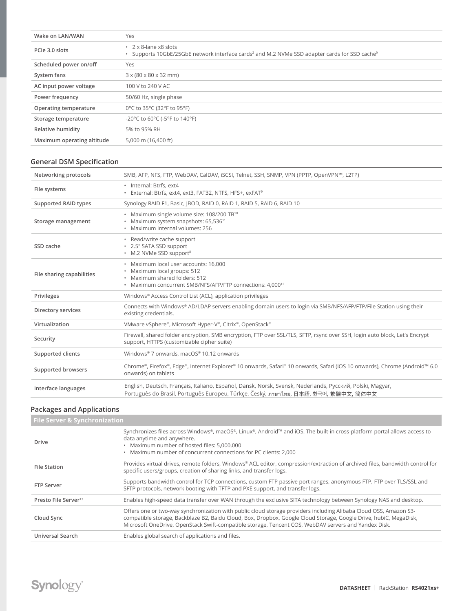| Wake on LAN/WAN            | Yes                                                                                                                                          |
|----------------------------|----------------------------------------------------------------------------------------------------------------------------------------------|
| PCIe 3.0 slots             | • 2 x 8-lane x8 slots<br>Supports 10GbE/25GbE network interface cards <sup>2</sup> and M.2 NVMe SSD adapter cards for SSD cache <sup>9</sup> |
| Scheduled power on/off     | Yes                                                                                                                                          |
| System fans                | $3 \times (80 \times 80 \times 32 \text{ mm})$                                                                                               |
| AC input power voltage     | 100 V to 240 V AC                                                                                                                            |
| Power frequency            | 50/60 Hz, single phase                                                                                                                       |
| Operating temperature      | 0°C to 35°C (32°F to 95°F)                                                                                                                   |
| Storage temperature        | -20°C to 60°C (-5°F to 140°F)                                                                                                                |
| Relative humidity          | 5% to 95% RH                                                                                                                                 |
| Maximum operating altitude | 5,000 m (16,400 ft)                                                                                                                          |

## **General DSM Specification**

| Networking protocols      | SMB, AFP, NFS, FTP, WebDAV, CalDAV, iSCSI, Telnet, SSH, SNMP, VPN (PPTP, OpenVPN™, L2TP)                                                                                                          |
|---------------------------|---------------------------------------------------------------------------------------------------------------------------------------------------------------------------------------------------|
| File systems              | · Internal: Btrfs, ext4<br>· External: Btrfs, ext4, ext3, FAT32, NTFS, HFS+, exFAT <sup>9</sup>                                                                                                   |
| Supported RAID types      | Synology RAID F1, Basic, (BOD, RAID 0, RAID 1, RAID 5, RAID 6, RAID 10                                                                                                                            |
| Storage management        | • Maximum single volume size: 108/200 TB <sup>10</sup><br>• Maximum system snapshots: 65,536 <sup>11</sup><br>· Maximum internal volumes: 256                                                     |
| SSD cache                 | • Read/write cache support<br>* 2.5" SATA SSD support<br>• M.2 NVMe SSD support <sup>8</sup>                                                                                                      |
| File sharing capabilities | · Maximum local user accounts: 16,000<br>· Maximum local groups: 512<br>· Maximum shared folders: 512<br>• Maximum concurrent SMB/NFS/AFP/FTP connections: 4,000 <sup>12</sup>                    |
| Privileges                | Windows® Access Control List (ACL), application privileges                                                                                                                                        |
| Directory services        | Connects with Windows® AD/LDAP servers enabling domain users to login via SMB/NFS/AFP/FTP/File Station using their<br>existing credentials.                                                       |
| Virtualization            | VMware vSphere®, Microsoft Hyper-V®, Citrix®, OpenStack®                                                                                                                                          |
| Security                  | Firewall, shared folder encryption, SMB encryption, FTP over SSL/TLS, SFTP, rsync over SSH, login auto block, Let's Encrypt<br>support, HTTPS (customizable cipher suite)                         |
| Supported clients         | Windows® 7 onwards, macOS® 10.12 onwards                                                                                                                                                          |
| Supported browsers        | Chrome®, Firefox®, Edge®, Internet Explorer® 10 onwards, Safari® 10 onwards, Safari (iOS 10 onwards), Chrome (Android™ 6.0<br>onwards) on tablets                                                 |
| Interface languages       | English, Deutsch, Français, Italiano, Español, Dansk, Norsk, Svensk, Nederlands, Русский, Polski, Magyar,<br>Português do Brasil, Português Europeu, Türkçe, Český, ภาษาไทย, 日本語, 한국어, 繁體中文, 简体中文 |

#### **Packages and Applications**

| <b>File Server &amp; Synchronization</b> |                                                                                                                                                                                                                                                                                                                                                |  |
|------------------------------------------|------------------------------------------------------------------------------------------------------------------------------------------------------------------------------------------------------------------------------------------------------------------------------------------------------------------------------------------------|--|
| Drive                                    | Synchronizes files across Windows®, macOS®, Linux®, Android™ and iOS. The built-in cross-platform portal allows access to<br>data anytime and anywhere.<br>· Maximum number of hosted files: 5,000,000<br>. Maximum number of concurrent connections for PC clients: 2,000                                                                     |  |
| <b>File Station</b>                      | Provides virtual drives, remote folders, Windows® ACL editor, compression/extraction of archived files, bandwidth control for<br>specific users/groups, creation of sharing links, and transfer logs.                                                                                                                                          |  |
| <b>FTP Server</b>                        | Supports bandwidth control for TCP connections, custom FTP passive port ranges, anonymous FTP, FTP over TLS/SSL and<br>SFTP protocols, network booting with TFTP and PXE support, and transfer logs.                                                                                                                                           |  |
| Presto File Server <sup>13</sup>         | Enables high-speed data transfer over WAN through the exclusive SITA technology between Synology NAS and desktop.                                                                                                                                                                                                                              |  |
| Cloud Sync                               | Offers one or two-way synchronization with public cloud storage providers including Alibaba Cloud OSS, Amazon S3-<br>compatible storage, Backblaze B2, Baidu Cloud, Box, Dropbox, Google Cloud Storage, Google Drive, hubiC, MegaDisk,<br>Microsoft OneDrive, OpenStack Swift-compatible storage, Tencent COS, WebDAV servers and Yandex Disk. |  |
| Universal Search                         | Enables global search of applications and files.                                                                                                                                                                                                                                                                                               |  |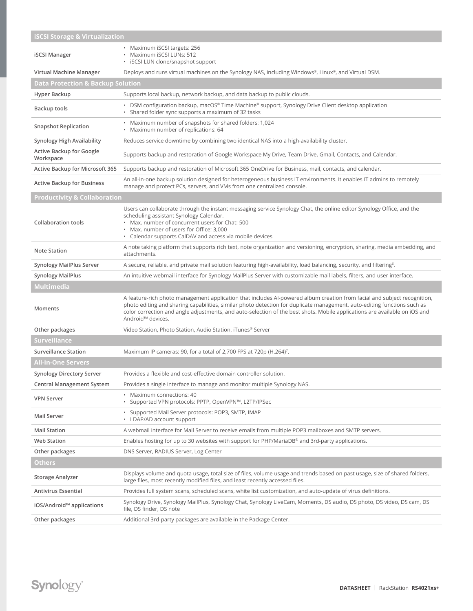| <b>iSCSI Storage &amp; Virtualization</b>    |                                                                                                                                                                                                                                                                                                                                                                                                                     |  |
|----------------------------------------------|---------------------------------------------------------------------------------------------------------------------------------------------------------------------------------------------------------------------------------------------------------------------------------------------------------------------------------------------------------------------------------------------------------------------|--|
| <b>iSCSI Manager</b>                         | • Maximum iSCSI targets: 256<br>· Maximum iSCSI LUNs: 512<br>· iSCSI LUN clone/snapshot support                                                                                                                                                                                                                                                                                                                     |  |
| Virtual Machine Manager                      | Deploys and runs virtual machines on the Synology NAS, including Windows®, Linux®, and Virtual DSM.                                                                                                                                                                                                                                                                                                                 |  |
| <b>Data Protection &amp; Backup Solution</b> |                                                                                                                                                                                                                                                                                                                                                                                                                     |  |
| Hyper Backup                                 | Supports local backup, network backup, and data backup to public clouds.                                                                                                                                                                                                                                                                                                                                            |  |
| Backup tools                                 | • DSM configuration backup, macOS® Time Machine® support, Synology Drive Client desktop application<br>• Shared folder sync supports a maximum of 32 tasks                                                                                                                                                                                                                                                          |  |
| <b>Snapshot Replication</b>                  | • Maximum number of snapshots for shared folders: 1,024<br>• Maximum number of replications: 64                                                                                                                                                                                                                                                                                                                     |  |
| Synology High Availability                   | Reduces service downtime by combining two identical NAS into a high-availability cluster.                                                                                                                                                                                                                                                                                                                           |  |
| <b>Active Backup for Google</b><br>Workspace | Supports backup and restoration of Google Workspace My Drive, Team Drive, Gmail, Contacts, and Calendar.                                                                                                                                                                                                                                                                                                            |  |
| Active Backup for Microsoft 365              | Supports backup and restoration of Microsoft 365 OneDrive for Business, mail, contacts, and calendar.                                                                                                                                                                                                                                                                                                               |  |
| <b>Active Backup for Business</b>            | An all-in-one backup solution designed for heterogeneous business IT environments. It enables IT admins to remotely<br>manage and protect PCs, servers, and VMs from one centralized console.                                                                                                                                                                                                                       |  |
| <b>Productivity &amp; Collaboration</b>      |                                                                                                                                                                                                                                                                                                                                                                                                                     |  |
| <b>Collaboration tools</b>                   | Users can collaborate through the instant messaging service Synology Chat, the online editor Synology Office, and the<br>scheduling assistant Synology Calendar.<br>. Max, number of concurrent users for Chat: 500<br>• Max. number of users for Office: 3,000<br>• Calendar supports CalDAV and access via mobile devices                                                                                         |  |
| Note Station                                 | A note taking platform that supports rich text, note organization and versioning, encryption, sharing, media embedding, and<br>attachments.                                                                                                                                                                                                                                                                         |  |
| <b>Synology MailPlus Server</b>              | A secure, reliable, and private mail solution featuring high-availability, load balancing, security, and filtering <sup>6</sup> .                                                                                                                                                                                                                                                                                   |  |
| <b>Synology MailPlus</b>                     | An intuitive webmail interface for Synology MailPlus Server with customizable mail labels, filters, and user interface.                                                                                                                                                                                                                                                                                             |  |
| <b>Multimedia</b>                            |                                                                                                                                                                                                                                                                                                                                                                                                                     |  |
| Moments                                      | A feature-rich photo management application that includes AI-powered album creation from facial and subject recognition,<br>photo editing and sharing capabilities, similar photo detection for duplicate management, auto-editing functions such as<br>color correction and angle adjustments, and auto-selection of the best shots. Mobile applications are available on iOS and<br>Android <sup>™</sup> devices. |  |
| Other packages                               | Video Station, Photo Station, Audio Station, iTunes® Server                                                                                                                                                                                                                                                                                                                                                         |  |
| Surveillance                                 |                                                                                                                                                                                                                                                                                                                                                                                                                     |  |
| <b>Surveillance Station</b>                  | Maximum IP cameras: 90, for a total of 2,700 FPS at 720p (H.264) <sup>7</sup> .                                                                                                                                                                                                                                                                                                                                     |  |
| <b>All-in-One Servers</b>                    |                                                                                                                                                                                                                                                                                                                                                                                                                     |  |
| <b>Synology Directory Server</b>             | Provides a flexible and cost-effective domain controller solution.                                                                                                                                                                                                                                                                                                                                                  |  |
| Central Management System                    | Provides a single interface to manage and monitor multiple Synology NAS.                                                                                                                                                                                                                                                                                                                                            |  |
| <b>VPN Server</b>                            | • Maximum connections: 40<br>• Supported VPN protocols: PPTP, OpenVPN™, L2TP/IPSec                                                                                                                                                                                                                                                                                                                                  |  |
| <b>Mail Server</b>                           | • Supported Mail Server protocols: POP3, SMTP, IMAP<br>• LDAP/AD account support                                                                                                                                                                                                                                                                                                                                    |  |
| <b>Mail Station</b>                          | A webmail interface for Mail Server to receive emails from multiple POP3 mailboxes and SMTP servers.                                                                                                                                                                                                                                                                                                                |  |
| <b>Web Station</b>                           | Enables hosting for up to 30 websites with support for PHP/MariaDB® and 3rd-party applications.                                                                                                                                                                                                                                                                                                                     |  |
| Other packages                               | DNS Server, RADIUS Server, Log Center                                                                                                                                                                                                                                                                                                                                                                               |  |
| <b>Others</b>                                |                                                                                                                                                                                                                                                                                                                                                                                                                     |  |
| <b>Storage Analyzer</b>                      | Displays volume and quota usage, total size of files, volume usage and trends based on past usage, size of shared folders,<br>large files, most recently modified files, and least recently accessed files.                                                                                                                                                                                                         |  |
| <b>Antivirus Essential</b>                   | Provides full system scans, scheduled scans, white list customization, and auto-update of virus definitions.                                                                                                                                                                                                                                                                                                        |  |
| iOS/Android™ applications                    | Synology Drive, Synology MailPlus, Synology Chat, Synology LiveCam, Moments, DS audio, DS photo, DS video, DS cam, DS<br>file, DS finder, DS note                                                                                                                                                                                                                                                                   |  |
| Other packages                               | Additional 3rd-party packages are available in the Package Center.                                                                                                                                                                                                                                                                                                                                                  |  |